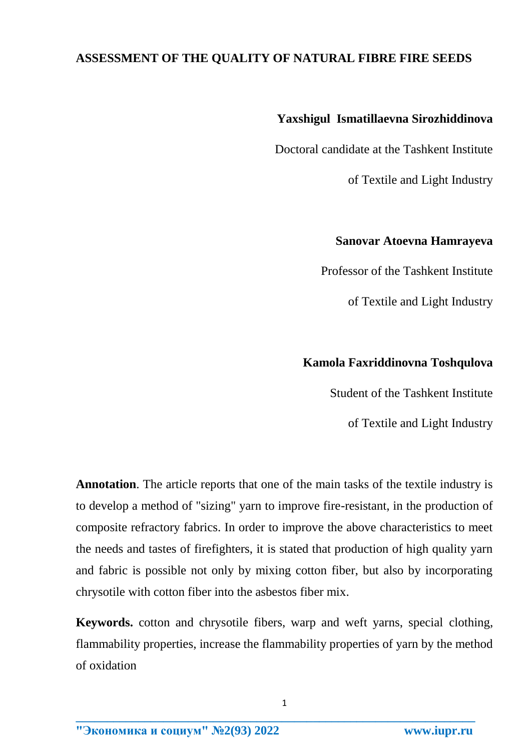## **ASSESSMENT OF THE QUALITY OF NATURAL FIBRE FIRE SEEDS**

# **Yaxshigul Ismatillaevna Sirozhiddinova**

Doctoral candidate at the Tashkent Institute

of Textile and Light Industry

### **Sanovar Atoevna Hamrayeva**

Professor of the Tashkent Institute

of Textile and Light Industry

## **Kamola Faxriddinovna Toshqulova**

Student of the Tashkent Institute

of Textile and Light Industry

**Annotation**. The article reports that one of the main tasks of the textile industry is to develop a method of "sizing" yarn to improve fire-resistant, in the production of composite refractory fabrics. In order to improve the above characteristics to meet the needs and tastes of firefighters, it is stated that production of high quality yarn and fabric is possible not only by mixing cotton fiber, but also by incorporating chrysotile with cotton fiber into the asbestos fiber mix.

**Keywords.** cotton and chrysotile fibers, warp and weft yarns, special clothing, flammability properties, increase the flammability properties of yarn by the method of oxidation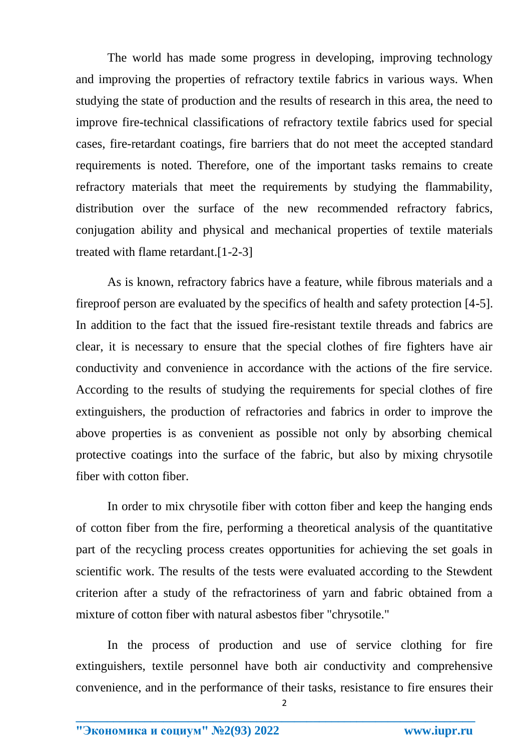The world has made some progress in developing, improving technology and improving the properties of refractory textile fabrics in various ways. When studying the state of production and the results of research in this area, the need to improve fire-technical classifications of refractory textile fabrics used for special cases, fire-retardant coatings, fire barriers that do not meet the accepted standard requirements is noted. Therefore, one of the important tasks remains to create refractory materials that meet the requirements by studying the flammability, distribution over the surface of the new recommended refractory fabrics, conjugation ability and physical and mechanical properties of textile materials treated with flame retardant.[1-2-3]

As is known, refractory fabrics have a feature, while fibrous materials and a fireproof person are evaluated by the specifics of health and safety protection [4-5]. In addition to the fact that the issued fire-resistant textile threads and fabrics are clear, it is necessary to ensure that the special clothes of fire fighters have air conductivity and convenience in accordance with the actions of the fire service. According to the results of studying the requirements for special clothes of fire extinguishers, the production of refractories and fabrics in order to improve the above properties is as convenient as possible not only by absorbing chemical protective coatings into the surface of the fabric, but also by mixing chrysotile fiber with cotton fiber.

In order to mix chrysotile fiber with cotton fiber and keep the hanging ends of cotton fiber from the fire, performing a theoretical analysis of the quantitative part of the recycling process creates opportunities for achieving the set goals in scientific work. The results of the tests were evaluated according to the Stewdent criterion after a study of the refractoriness of yarn and fabric obtained from a mixture of cotton fiber with natural asbestos fiber "chrysotile."

In the process of production and use of service clothing for fire extinguishers, textile personnel have both air conductivity and comprehensive convenience, and in the performance of their tasks, resistance to fire ensures their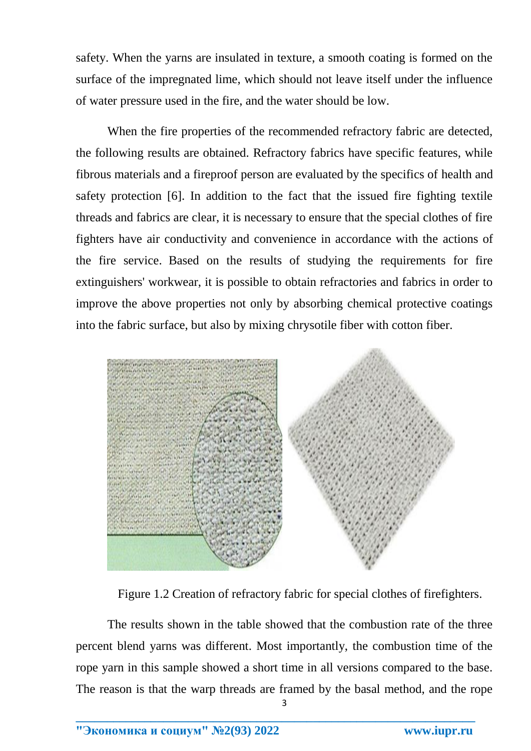safety. When the yarns are insulated in texture, a smooth coating is formed on the surface of the impregnated lime, which should not leave itself under the influence of water pressure used in the fire, and the water should be low.

When the fire properties of the recommended refractory fabric are detected, the following results are obtained. Refractory fabrics have specific features, while fibrous materials and a fireproof person are evaluated by the specifics of health and safety protection [6]. In addition to the fact that the issued fire fighting textile threads and fabrics are clear, it is necessary to ensure that the special clothes of fire fighters have air conductivity and convenience in accordance with the actions of the fire service. Based on the results of studying the requirements for fire extinguishers' workwear, it is possible to obtain refractories and fabrics in order to improve the above properties not only by absorbing chemical protective coatings into the fabric surface, but also by mixing chrysotile fiber with cotton fiber.



Figure 1.2 Creation of refractory fabric for special clothes of firefighters.

3 The results shown in the table showed that the combustion rate of the three percent blend yarns was different. Most importantly, the combustion time of the rope yarn in this sample showed a short time in all versions compared to the base. The reason is that the warp threads are framed by the basal method, and the rope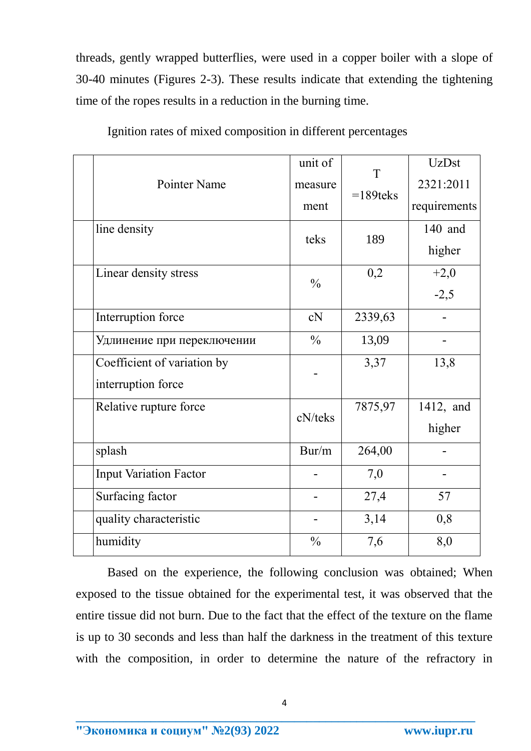threads, gently wrapped butterflies, were used in a copper boiler with a slope of 30-40 minutes (Figures 2-3). These results indicate that extending the tightening time of the ropes results in a reduction in the burning time.

|                               | unit of                  | T           | <b>UzDst</b> |
|-------------------------------|--------------------------|-------------|--------------|
| Pointer Name                  | measure                  | $=189$ teks | 2321:2011    |
|                               | ment                     |             | requirements |
| line density                  | teks                     | 189         | 140 and      |
|                               |                          |             | higher       |
| Linear density stress         | $\frac{0}{0}$            | 0,2         | $+2,0$       |
|                               |                          |             | $-2,5$       |
| Interruption force            | cN                       | 2339,63     |              |
| Удлинение при переключении    | $\frac{0}{0}$            | 13,09       |              |
| Coefficient of variation by   |                          | 3,37        | 13,8         |
| interruption force            |                          |             |              |
| Relative rupture force        | cN/teks                  | 7875,97     | 1412, and    |
|                               |                          |             | higher       |
| splash                        | Bur/m                    | 264,00      |              |
| <b>Input Variation Factor</b> |                          | 7,0         |              |
| Surfacing factor              |                          | 27,4        | 57           |
| quality characteristic        | $\overline{\phantom{a}}$ | 3,14        | 0,8          |
| humidity                      | $\frac{0}{0}$            | 7,6         | 8,0          |

Ignition rates of mixed composition in different percentages

Based on the experience, the following conclusion was obtained; When exposed to the tissue obtained for the experimental test, it was observed that the entire tissue did not burn. Due to the fact that the effect of the texture on the flame is up to 30 seconds and less than half the darkness in the treatment of this texture with the composition, in order to determine the nature of the refractory in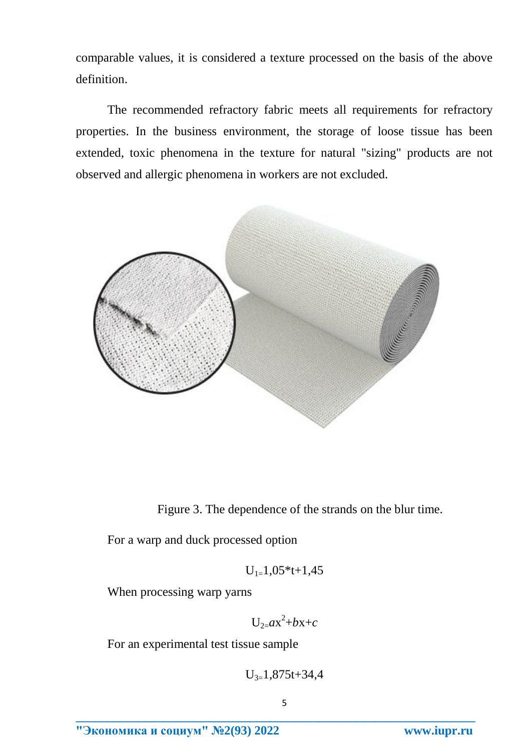comparable values, it is considered a texture processed on the basis of the above definition.

The recommended refractory fabric meets all requirements for refractory properties. In the business environment, the storage of loose tissue has been extended, toxic phenomena in the texture for natural "sizing" products are not observed and allergic phenomena in workers are not excluded.



Figure 3. The dependence of the strands on the blur time.

For a warp and duck processed option

$$
U_{1=}1,\!05^*\!t\!+\!1,\!45
$$

When processing warp yarns

 $U_{2}=ax^2+bx+c$ 

For an experimental test tissue sample

$$
U_{3=}1,\!875t\!+\!34,\!4
$$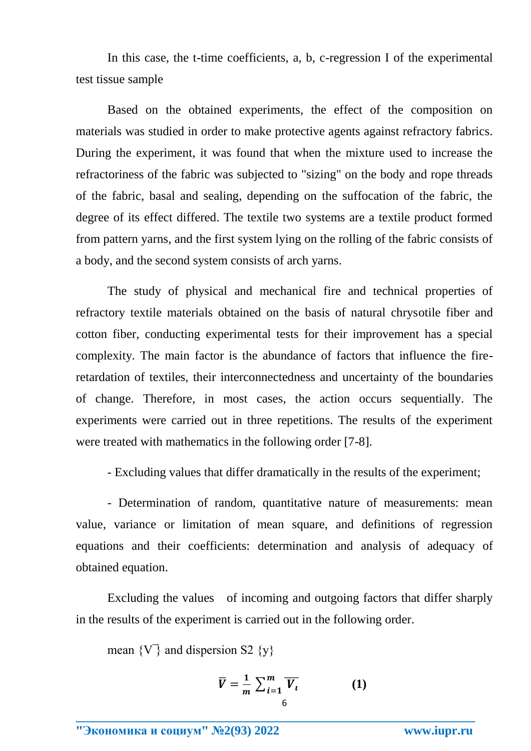In this case, the t-time coefficients, a, b, c-regression I of the experimental test tissue sample

Based on the obtained experiments, the effect of the composition on materials was studied in order to make protective agents against refractory fabrics. During the experiment, it was found that when the mixture used to increase the refractoriness of the fabric was subjected to "sizing" on the body and rope threads of the fabric, basal and sealing, depending on the suffocation of the fabric, the degree of its effect differed. The textile two systems are a textile product formed from pattern yarns, and the first system lying on the rolling of the fabric consists of a body, and the second system consists of arch yarns.

The study of physical and mechanical fire and technical properties of refractory textile materials obtained on the basis of natural chrysotile fiber and cotton fiber, conducting experimental tests for their improvement has a special complexity. The main factor is the abundance of factors that influence the fireretardation of textiles, their interconnectedness and uncertainty of the boundaries of change. Therefore, in most cases, the action occurs sequentially. The experiments were carried out in three repetitions. The results of the experiment were treated with mathematics in the following order [7-8].

- Excluding values that differ dramatically in the results of the experiment;

- Determination of random, quantitative nature of measurements: mean value, variance or limitation of mean square, and definitions of regression equations and their coefficients: determination and analysis of adequacy of obtained equation.

Excluding the values of incoming and outgoing factors that differ sharply in the results of the experiment is carried out in the following order.

mean  $\{V\}$  and dispersion S2  $\{v\}$ 

$$
\overline{V} = \frac{1}{m} \sum_{i=1}^{m} \overline{V_i}
$$
 (1)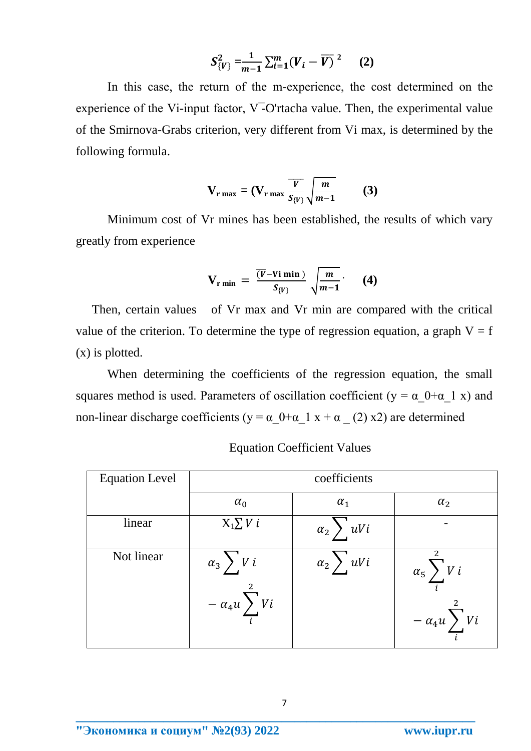$$
S_{\{V\}}^2 = \frac{1}{m-1} \sum_{i=1}^m (V_i - \overline{V})^2 \qquad (2)
$$

In this case, the return of the m-experience, the cost determined on the experience of the Vi-input factor,  $V$ -O'rtacha value. Then, the experimental value of the Smirnova-Grabs criterion, very different from Vi max, is determined by the following formula.

$$
\mathbf{V}_{\mathbf{r} \max} = (\mathbf{V}_{\mathbf{r} \max} \frac{\overline{V}}{S_{\{V\}}} \sqrt{\frac{m}{m-1}} \qquad (3)
$$

Minimum cost of Vr mines has been established, the results of which vary greatly from experience

$$
V_{\text{r min}} = \frac{\overline{(V} - Vi \text{ min})}{S_{\{V\}}} \sqrt{\frac{m}{m-1}} \qquad (4)
$$

Then, certain values of Vr max and Vr min are compared with the critical value of the criterion. To determine the type of regression equation, a graph  $V = f$ (x) is plotted.

When determining the coefficients of the regression equation, the small squares method is used. Parameters of oscillation coefficient ( $y = \alpha$   $0+\alpha$  1 x) and non-linear discharge coefficients (y =  $\alpha$  0+ $\alpha$  1 x +  $\alpha$  (2) x2) are determined

| <b>Equation Level</b> | coefficients                                         |                            |                                               |  |  |
|-----------------------|------------------------------------------------------|----------------------------|-----------------------------------------------|--|--|
|                       | $\alpha_0$                                           | $\alpha_1$                 | $\alpha_2$                                    |  |  |
| linear                | $X_1 \sum V_i$                                       | $\alpha_2$ $\bigvee$ $uVi$ |                                               |  |  |
| Not linear            | $\alpha_3$ $\bigvee$ $V$ i<br>$-\alpha_4 u \sum V i$ | $\alpha_2$ , $\frac{v}{i}$ | $\alpha_5 \sum V_i$<br>$-\alpha_4 u \sum V i$ |  |  |

Equation Coefficient Values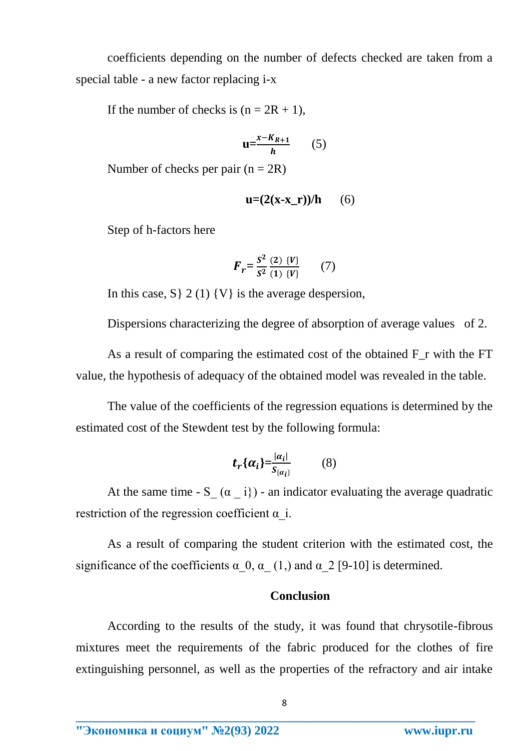coefficients depending on the number of defects checked are taken from a special table - a new factor replacing i-x

If the number of checks is  $(n = 2R + 1)$ ,

$$
u = \frac{x - K_{R+1}}{h} \qquad (5)
$$

Number of checks per pair  $(n = 2R)$ 

$$
\mathbf{u} = (2(\mathbf{x} - \mathbf{x}_r))/\mathbf{h} \qquad (6)
$$

Step of h-factors here

$$
F_r = \frac{S^2}{S^2} \frac{(2) \{V\}}{(1) \{V\}} \qquad (7)
$$

In this case,  $S \}$  2 (1) {V} is the average despersion,

Dispersions characterizing the degree of absorption of average values of 2.

As a result of comparing the estimated cost of the obtained F\_r with the FT value, the hypothesis of adequacy of the obtained model was revealed in the table.

The value of the coefficients of the regression equations is determined by the estimated cost of the Stewdent test by the following formula:

$$
t_r\{\alpha_i\} = \frac{|\alpha_i|}{S_{\{\alpha_i\}}}
$$
 (8)

At the same time -  $S_ ( \alpha_i )$  - an indicator evaluating the average quadratic restriction of the regression coefficient  $\alpha$  i.

As a result of comparing the student criterion with the estimated cost, the significance of the coefficients  $\alpha$  0,  $\alpha$  (1,) and  $\alpha$  2 [9-10] is determined.

### **Conclusion**

According to the results of the study, it was found that chrysotile-fibrous mixtures meet the requirements of the fabric produced for the clothes of fire extinguishing personnel, as well as the properties of the refractory and air intake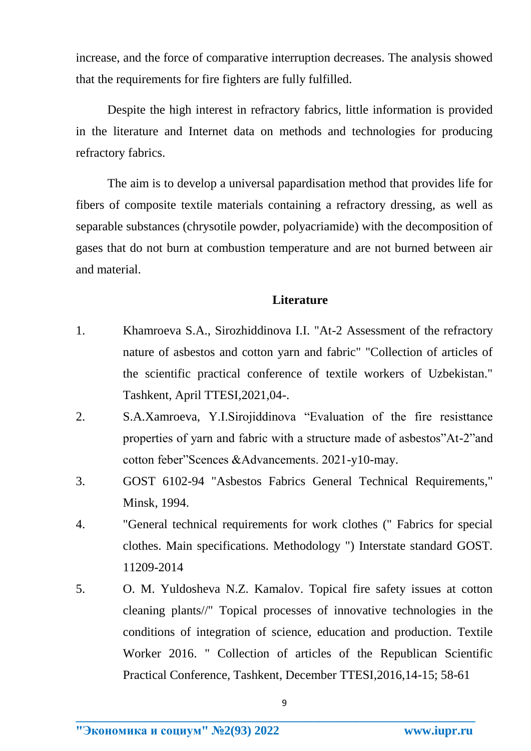increase, and the force of comparative interruption decreases. The analysis showed that the requirements for fire fighters are fully fulfilled.

Despite the high interest in refractory fabrics, little information is provided in the literature and Internet data on methods and technologies for producing refractory fabrics.

The aim is to develop a universal papardisation method that provides life for fibers of composite textile materials containing a refractory dressing, as well as separable substances (chrysotile powder, polyacriamide) with the decomposition of gases that do not burn at combustion temperature and are not burned between air and material.

#### **Literature**

- 1. Khamroeva S.A., Sirozhiddinova I.I. "At-2 Assessment of the refractory nature of asbestos and cotton yarn and fabric" "Collection of articles of the scientific practical conference of textile workers of Uzbekistan." Tashkent, April TTESI,2021,04-.
- 2. S.A.Xamroeva, Y.I.Sirojiddinova "Evaluation of the fire resisttance properties of yarn and fabric with a structure made of asbestos"At-2"and cotton feber"Scences &Advancements. 2021-y10-may.
- 3. GOST 6102-94 "Asbestos Fabrics General Technical Requirements," Minsk, 1994.
- 4. "General technical requirements for work clothes (" Fabrics for special clothes. Main specifications. Methodology ") Interstate standard GOST. 11209-2014
- 5. O. M. Yuldosheva N.Z. Kamalov. Topical fire safety issues at cotton cleaning plants//" Topical processes of innovative technologies in the conditions of integration of science, education and production. Textile Worker 2016. " Collection of articles of the Republican Scientific Practical Conference, Tashkent, December TTESI,2016,14-15; 58-61